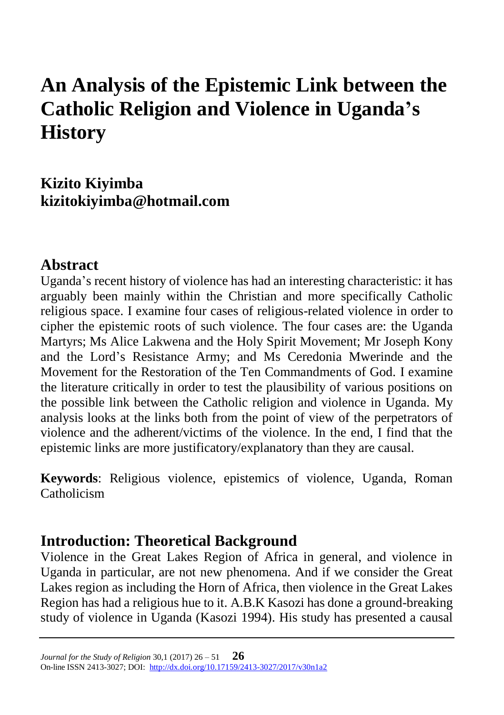# **An Analysis of the Epistemic Link between the Catholic Religion and Violence in Uganda's History**

**Kizito Kiyimba kizitokiyimba@hotmail.com**

### **Abstract**

Uganda's recent history of violence has had an interesting characteristic: it has arguably been mainly within the Christian and more specifically Catholic religious space. I examine four cases of religious-related violence in order to cipher the epistemic roots of such violence. The four cases are: the Uganda Martyrs; Ms Alice Lakwena and the Holy Spirit Movement; Mr Joseph Kony and the Lord's Resistance Army; and Ms Ceredonia Mwerinde and the Movement for the Restoration of the Ten Commandments of God. I examine the literature critically in order to test the plausibility of various positions on the possible link between the Catholic religion and violence in Uganda. My analysis looks at the links both from the point of view of the perpetrators of violence and the adherent/victims of the violence. In the end, I find that the epistemic links are more justificatory/explanatory than they are causal.

**Keywords**: Religious violence, epistemics of violence, Uganda, Roman Catholicism

### **Introduction: Theoretical Background**

Violence in the Great Lakes Region of Africa in general, and violence in Uganda in particular, are not new phenomena. And if we consider the Great Lakes region as including the Horn of Africa, then violence in the Great Lakes Region has had a religious hue to it. A.B.K Kasozi has done a ground-breaking study of violence in Uganda (Kasozi 1994). His study has presented a causal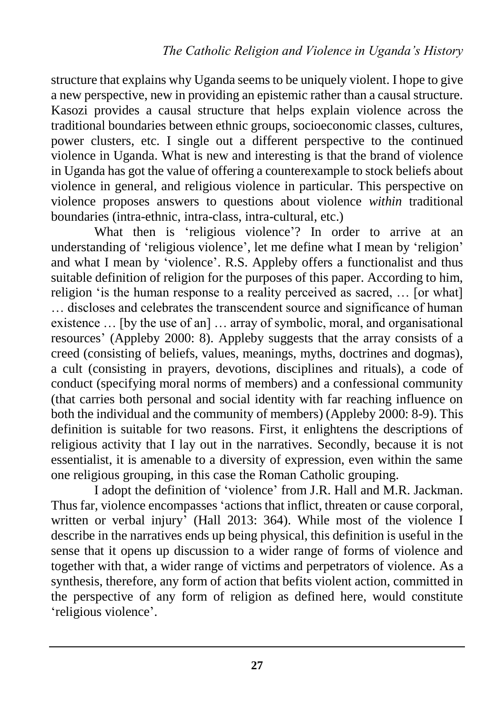structure that explains why Uganda seems to be uniquely violent. I hope to give a new perspective, new in providing an epistemic rather than a causal structure. Kasozi provides a causal structure that helps explain violence across the traditional boundaries between ethnic groups, socioeconomic classes, cultures, power clusters, etc. I single out a different perspective to the continued violence in Uganda. What is new and interesting is that the brand of violence in Uganda has got the value of offering a counterexample to stock beliefs about violence in general, and religious violence in particular. This perspective on violence proposes answers to questions about violence *within* traditional boundaries (intra-ethnic, intra-class, intra-cultural, etc.)

What then is 'religious violence'? In order to arrive at an understanding of 'religious violence', let me define what I mean by 'religion' and what I mean by 'violence'. R.S. Appleby offers a functionalist and thus suitable definition of religion for the purposes of this paper. According to him, religion 'is the human response to a reality perceived as sacred, … [or what] … discloses and celebrates the transcendent source and significance of human existence … [by the use of an] … array of symbolic, moral, and organisational resources' (Appleby 2000: 8). Appleby suggests that the array consists of a creed (consisting of beliefs, values, meanings, myths, doctrines and dogmas), a cult (consisting in prayers, devotions, disciplines and rituals), a code of conduct (specifying moral norms of members) and a confessional community (that carries both personal and social identity with far reaching influence on both the individual and the community of members) (Appleby 2000: 8-9). This definition is suitable for two reasons. First, it enlightens the descriptions of religious activity that I lay out in the narratives. Secondly, because it is not essentialist, it is amenable to a diversity of expression, even within the same one religious grouping, in this case the Roman Catholic grouping.

I adopt the definition of 'violence' from J.R. Hall and M.R. Jackman. Thus far, violence encompasses 'actions that inflict, threaten or cause corporal, written or verbal injury' (Hall 2013: 364). While most of the violence I describe in the narratives ends up being physical, this definition is useful in the sense that it opens up discussion to a wider range of forms of violence and together with that, a wider range of victims and perpetrators of violence. As a synthesis, therefore, any form of action that befits violent action, committed in the perspective of any form of religion as defined here, would constitute 'religious violence'.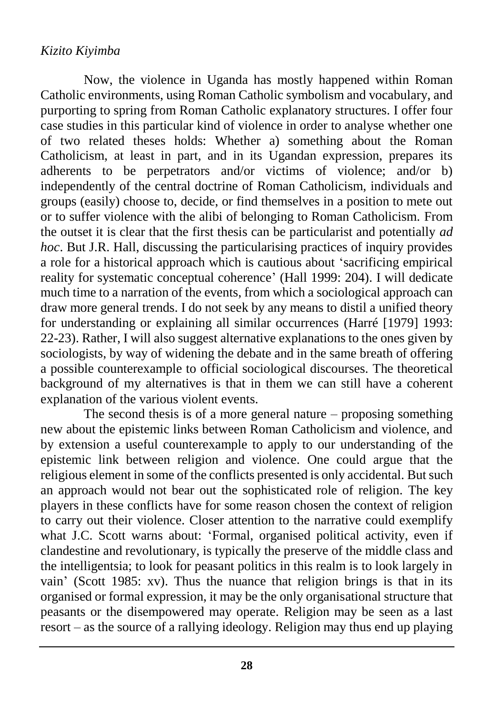Now, the violence in Uganda has mostly happened within Roman Catholic environments, using Roman Catholic symbolism and vocabulary, and purporting to spring from Roman Catholic explanatory structures. I offer four case studies in this particular kind of violence in order to analyse whether one of two related theses holds: Whether a) something about the Roman Catholicism, at least in part, and in its Ugandan expression, prepares its adherents to be perpetrators and/or victims of violence; and/or b) independently of the central doctrine of Roman Catholicism, individuals and groups (easily) choose to, decide, or find themselves in a position to mete out or to suffer violence with the alibi of belonging to Roman Catholicism. From the outset it is clear that the first thesis can be particularist and potentially *ad hoc*. But J.R. Hall, discussing the particularising practices of inquiry provides a role for a historical approach which is cautious about 'sacrificing empirical reality for systematic conceptual coherence' (Hall 1999: 204). I will dedicate much time to a narration of the events, from which a sociological approach can draw more general trends. I do not seek by any means to distil a unified theory for understanding or explaining all similar occurrences (Harré [1979] 1993: 22-23). Rather, I will also suggest alternative explanations to the ones given by sociologists, by way of widening the debate and in the same breath of offering a possible counterexample to official sociological discourses. The theoretical background of my alternatives is that in them we can still have a coherent explanation of the various violent events.

The second thesis is of a more general nature – proposing something new about the epistemic links between Roman Catholicism and violence, and by extension a useful counterexample to apply to our understanding of the epistemic link between religion and violence. One could argue that the religious element in some of the conflicts presented is only accidental. But such an approach would not bear out the sophisticated role of religion. The key players in these conflicts have for some reason chosen the context of religion to carry out their violence. Closer attention to the narrative could exemplify what J.C. Scott warns about: 'Formal, organised political activity, even if clandestine and revolutionary, is typically the preserve of the middle class and the intelligentsia; to look for peasant politics in this realm is to look largely in vain' (Scott 1985: xv). Thus the nuance that religion brings is that in its organised or formal expression, it may be the only organisational structure that peasants or the disempowered may operate. Religion may be seen as a last resort – as the source of a rallying ideology. Religion may thus end up playing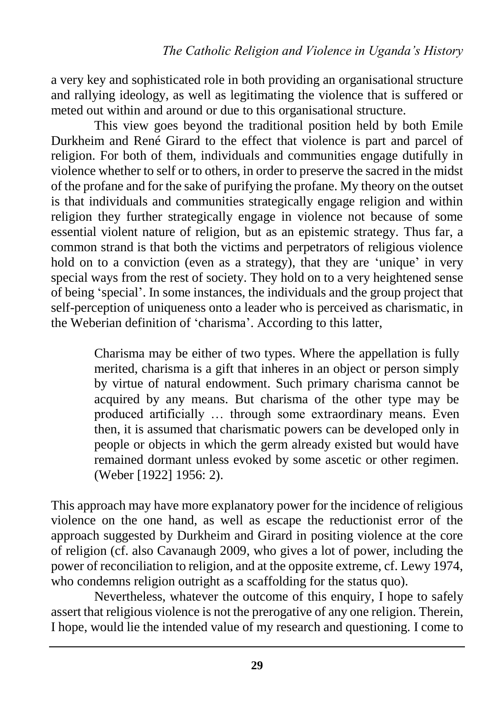a very key and sophisticated role in both providing an organisational structure and rallying ideology, as well as legitimating the violence that is suffered or meted out within and around or due to this organisational structure.

This view goes beyond the traditional position held by both Emile Durkheim and René Girard to the effect that violence is part and parcel of religion. For both of them, individuals and communities engage dutifully in violence whether to self or to others, in order to preserve the sacred in the midst of the profane and for the sake of purifying the profane. My theory on the outset is that individuals and communities strategically engage religion and within religion they further strategically engage in violence not because of some essential violent nature of religion, but as an epistemic strategy. Thus far, a common strand is that both the victims and perpetrators of religious violence hold on to a conviction (even as a strategy), that they are 'unique' in very special ways from the rest of society. They hold on to a very heightened sense of being 'special'. In some instances, the individuals and the group project that self-perception of uniqueness onto a leader who is perceived as charismatic, in the Weberian definition of 'charisma'. According to this latter,

> Charisma may be either of two types. Where the appellation is fully merited, charisma is a gift that inheres in an object or person simply by virtue of natural endowment. Such primary charisma cannot be acquired by any means. But charisma of the other type may be produced artificially … through some extraordinary means. Even then, it is assumed that charismatic powers can be developed only in people or objects in which the germ already existed but would have remained dormant unless evoked by some ascetic or other regimen. (Weber [1922] 1956: 2).

This approach may have more explanatory power for the incidence of religious violence on the one hand, as well as escape the reductionist error of the approach suggested by Durkheim and Girard in positing violence at the core of religion (cf. also Cavanaugh 2009, who gives a lot of power, including the power of reconciliation to religion, and at the opposite extreme, cf. Lewy 1974, who condemns religion outright as a scaffolding for the status quo).

Nevertheless, whatever the outcome of this enquiry, I hope to safely assert that religious violence is not the prerogative of any one religion. Therein, I hope, would lie the intended value of my research and questioning. I come to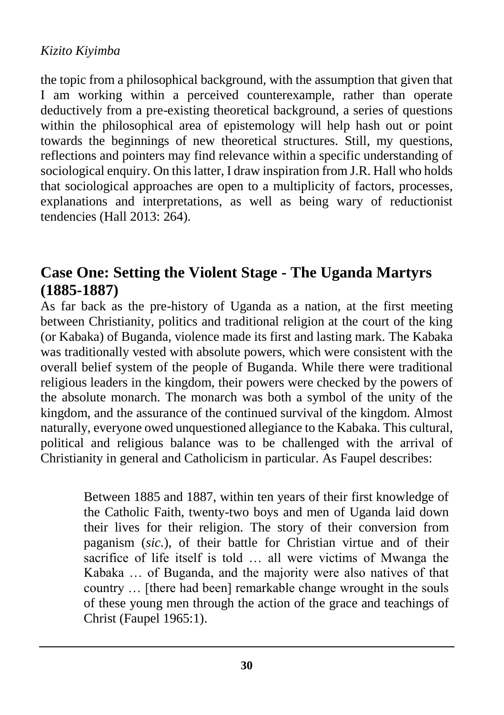the topic from a philosophical background, with the assumption that given that I am working within a perceived counterexample, rather than operate deductively from a pre-existing theoretical background, a series of questions within the philosophical area of epistemology will help hash out or point towards the beginnings of new theoretical structures. Still, my questions, reflections and pointers may find relevance within a specific understanding of sociological enquiry. On this latter, I draw inspiration from J.R. Hall who holds that sociological approaches are open to a multiplicity of factors, processes, explanations and interpretations, as well as being wary of reductionist tendencies (Hall 2013: 264).

# **Case One: Setting the Violent Stage - The Uganda Martyrs (1885-1887)**

As far back as the pre-history of Uganda as a nation, at the first meeting between Christianity, politics and traditional religion at the court of the king (or Kabaka) of Buganda, violence made its first and lasting mark. The Kabaka was traditionally vested with absolute powers, which were consistent with the overall belief system of the people of Buganda. While there were traditional religious leaders in the kingdom, their powers were checked by the powers of the absolute monarch. The monarch was both a symbol of the unity of the kingdom, and the assurance of the continued survival of the kingdom. Almost naturally, everyone owed unquestioned allegiance to the Kabaka. This cultural, political and religious balance was to be challenged with the arrival of Christianity in general and Catholicism in particular. As Faupel describes:

> Between 1885 and 1887, within ten years of their first knowledge of the Catholic Faith, twenty-two boys and men of Uganda laid down their lives for their religion. The story of their conversion from paganism (*sic.*), of their battle for Christian virtue and of their sacrifice of life itself is told … all were victims of Mwanga the Kabaka … of Buganda, and the majority were also natives of that country … [there had been] remarkable change wrought in the souls of these young men through the action of the grace and teachings of Christ (Faupel 1965:1).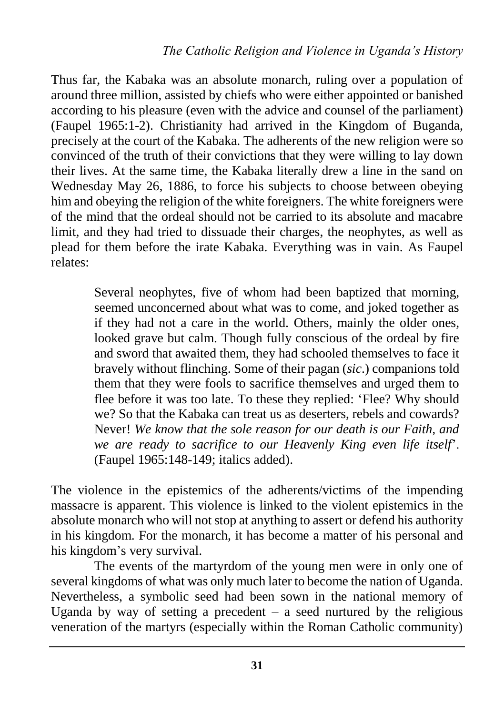Thus far, the Kabaka was an absolute monarch, ruling over a population of around three million, assisted by chiefs who were either appointed or banished according to his pleasure (even with the advice and counsel of the parliament) (Faupel 1965:1-2). Christianity had arrived in the Kingdom of Buganda, precisely at the court of the Kabaka. The adherents of the new religion were so convinced of the truth of their convictions that they were willing to lay down their lives. At the same time, the Kabaka literally drew a line in the sand on Wednesday May 26, 1886, to force his subjects to choose between obeying him and obeying the religion of the white foreigners. The white foreigners were of the mind that the ordeal should not be carried to its absolute and macabre limit, and they had tried to dissuade their charges, the neophytes, as well as plead for them before the irate Kabaka. Everything was in vain. As Faupel relates:

> Several neophytes, five of whom had been baptized that morning, seemed unconcerned about what was to come, and joked together as if they had not a care in the world. Others, mainly the older ones, looked grave but calm. Though fully conscious of the ordeal by fire and sword that awaited them, they had schooled themselves to face it bravely without flinching. Some of their pagan (*sic*.) companions told them that they were fools to sacrifice themselves and urged them to flee before it was too late. To these they replied: 'Flee? Why should we? So that the Kabaka can treat us as deserters, rebels and cowards? Never! *We know that the sole reason for our death is our Faith, and we are ready to sacrifice to our Heavenly King even life itself*'. (Faupel 1965:148-149; italics added).

The violence in the epistemics of the adherents/victims of the impending massacre is apparent. This violence is linked to the violent epistemics in the absolute monarch who will not stop at anything to assert or defend his authority in his kingdom. For the monarch, it has become a matter of his personal and his kingdom's very survival.

The events of the martyrdom of the young men were in only one of several kingdoms of what was only much later to become the nation of Uganda. Nevertheless, a symbolic seed had been sown in the national memory of Uganda by way of setting a precedent  $-$  a seed nurtured by the religious veneration of the martyrs (especially within the Roman Catholic community)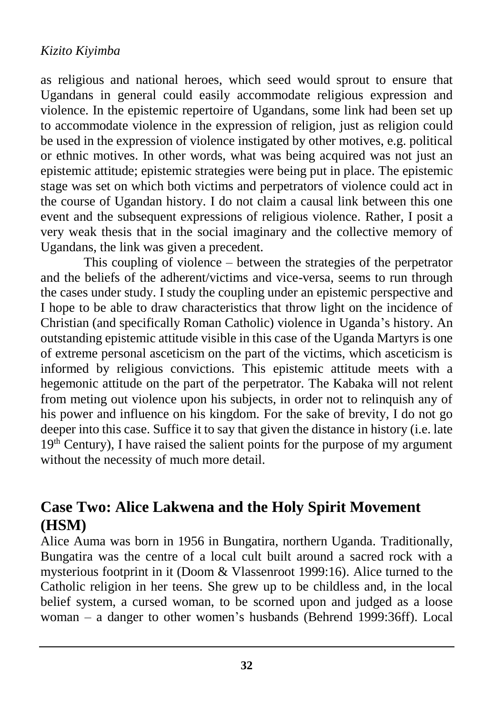as religious and national heroes, which seed would sprout to ensure that Ugandans in general could easily accommodate religious expression and violence. In the epistemic repertoire of Ugandans, some link had been set up to accommodate violence in the expression of religion, just as religion could be used in the expression of violence instigated by other motives, e.g. political or ethnic motives. In other words, what was being acquired was not just an epistemic attitude; epistemic strategies were being put in place. The epistemic stage was set on which both victims and perpetrators of violence could act in the course of Ugandan history. I do not claim a causal link between this one event and the subsequent expressions of religious violence. Rather, I posit a very weak thesis that in the social imaginary and the collective memory of Ugandans, the link was given a precedent.

This coupling of violence – between the strategies of the perpetrator and the beliefs of the adherent/victims and vice-versa, seems to run through the cases under study. I study the coupling under an epistemic perspective and I hope to be able to draw characteristics that throw light on the incidence of Christian (and specifically Roman Catholic) violence in Uganda's history. An outstanding epistemic attitude visible in this case of the Uganda Martyrs is one of extreme personal asceticism on the part of the victims, which asceticism is informed by religious convictions. This epistemic attitude meets with a hegemonic attitude on the part of the perpetrator. The Kabaka will not relent from meting out violence upon his subjects, in order not to relinquish any of his power and influence on his kingdom. For the sake of brevity, I do not go deeper into this case. Suffice it to say that given the distance in history (i.e. late  $19<sup>th</sup>$  Century), I have raised the salient points for the purpose of my argument without the necessity of much more detail.

### **Case Two: Alice Lakwena and the Holy Spirit Movement (HSM)**

Alice Auma was born in 1956 in Bungatira, northern Uganda. Traditionally, Bungatira was the centre of a local cult built around a sacred rock with a mysterious footprint in it (Doom & Vlassenroot 1999:16). Alice turned to the Catholic religion in her teens. She grew up to be childless and, in the local belief system, a cursed woman, to be scorned upon and judged as a loose woman – a danger to other women's husbands (Behrend 1999:36ff). Local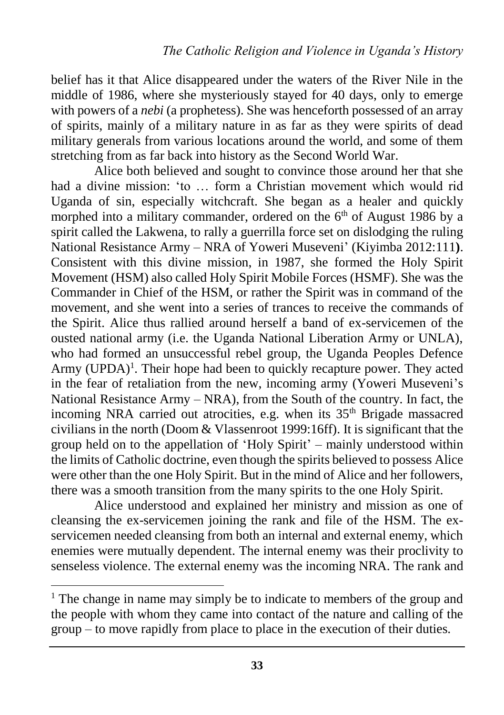belief has it that Alice disappeared under the waters of the River Nile in the middle of 1986, where she mysteriously stayed for 40 days, only to emerge with powers of a *nebi* (a prophetess). She was henceforth possessed of an array of spirits, mainly of a military nature in as far as they were spirits of dead military generals from various locations around the world, and some of them stretching from as far back into history as the Second World War.

Alice both believed and sought to convince those around her that she had a divine mission: 'to … form a Christian movement which would rid Uganda of sin, especially witchcraft. She began as a healer and quickly morphed into a military commander, ordered on the  $6<sup>th</sup>$  of August 1986 by a spirit called the Lakwena, to rally a guerrilla force set on dislodging the ruling National Resistance Army – NRA of Yoweri Museveni' (Kiyimba 2012:111**)**. Consistent with this divine mission, in 1987, she formed the Holy Spirit Movement (HSM) also called Holy Spirit Mobile Forces (HSMF). She was the Commander in Chief of the HSM, or rather the Spirit was in command of the movement, and she went into a series of trances to receive the commands of the Spirit. Alice thus rallied around herself a band of ex-servicemen of the ousted national army (i.e. the Uganda National Liberation Army or UNLA), who had formed an unsuccessful rebel group, the Uganda Peoples Defence Army (UPDA)<sup>1</sup>. Their hope had been to quickly recapture power. They acted in the fear of retaliation from the new, incoming army (Yoweri Museveni's National Resistance Army – NRA), from the South of the country. In fact, the incoming NRA carried out atrocities, e.g. when its 35<sup>th</sup> Brigade massacred civilians in the north (Doom & Vlassenroot 1999:16ff). It is significant that the group held on to the appellation of 'Holy Spirit' – mainly understood within the limits of Catholic doctrine, even though the spirits believed to possess Alice were other than the one Holy Spirit. But in the mind of Alice and her followers, there was a smooth transition from the many spirits to the one Holy Spirit.

Alice understood and explained her ministry and mission as one of cleansing the ex-servicemen joining the rank and file of the HSM. The exservicemen needed cleansing from both an internal and external enemy, which enemies were mutually dependent. The internal enemy was their proclivity to senseless violence. The external enemy was the incoming NRA. The rank and

 $\overline{a}$ 

<sup>&</sup>lt;sup>1</sup> The change in name may simply be to indicate to members of the group and the people with whom they came into contact of the nature and calling of the group – to move rapidly from place to place in the execution of their duties.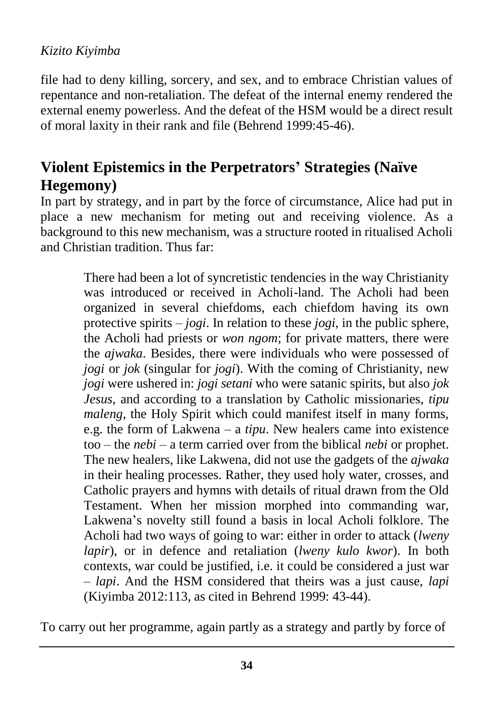file had to deny killing, sorcery, and sex, and to embrace Christian values of repentance and non-retaliation. The defeat of the internal enemy rendered the external enemy powerless. And the defeat of the HSM would be a direct result of moral laxity in their rank and file (Behrend 1999:45-46).

# **Violent Epistemics in the Perpetrators' Strategies (Naïve Hegemony)**

In part by strategy, and in part by the force of circumstance, Alice had put in place a new mechanism for meting out and receiving violence. As a background to this new mechanism, was a structure rooted in ritualised Acholi and Christian tradition. Thus far:

> There had been a lot of syncretistic tendencies in the way Christianity was introduced or received in Acholi-land. The Acholi had been organized in several chiefdoms, each chiefdom having its own protective spirits – *jogi*. In relation to these *jogi*, in the public sphere, the Acholi had priests or *won ngom*; for private matters, there were the *ajwaka*. Besides, there were individuals who were possessed of *jogi* or *jok* (singular for *jogi*). With the coming of Christianity, new *jogi* were ushered in: *jogi setani* who were satanic spirits, but also *jok Jesus*, and according to a translation by Catholic missionaries, *tipu maleng*, the Holy Spirit which could manifest itself in many forms, e.g. the form of Lakwena – a *tipu*. New healers came into existence too – the *nebi* – a term carried over from the biblical *nebi* or prophet. The new healers, like Lakwena, did not use the gadgets of the *ajwaka* in their healing processes. Rather, they used holy water, crosses, and Catholic prayers and hymns with details of ritual drawn from the Old Testament. When her mission morphed into commanding war, Lakwena's novelty still found a basis in local Acholi folklore. The Acholi had two ways of going to war: either in order to attack (*lweny lapir*), or in defence and retaliation (*lweny kulo kwor*). In both contexts, war could be justified, i.e. it could be considered a just war – *lapi*. And the HSM considered that theirs was a just cause, *lapi* (Kiyimba 2012:113, as cited in Behrend 1999: 43-44).

To carry out her programme, again partly as a strategy and partly by force of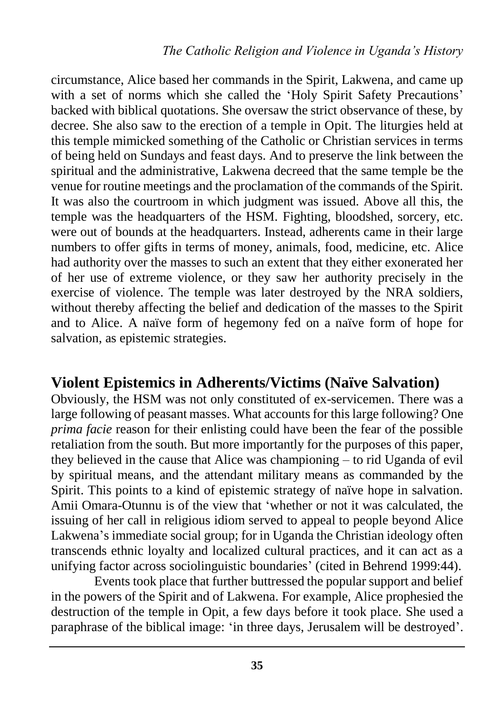circumstance, Alice based her commands in the Spirit, Lakwena, and came up with a set of norms which she called the 'Holy Spirit Safety Precautions' backed with biblical quotations. She oversaw the strict observance of these, by decree. She also saw to the erection of a temple in Opit. The liturgies held at this temple mimicked something of the Catholic or Christian services in terms of being held on Sundays and feast days. And to preserve the link between the spiritual and the administrative, Lakwena decreed that the same temple be the venue for routine meetings and the proclamation of the commands of the Spirit. It was also the courtroom in which judgment was issued. Above all this, the temple was the headquarters of the HSM. Fighting, bloodshed, sorcery, etc. were out of bounds at the headquarters. Instead, adherents came in their large numbers to offer gifts in terms of money, animals, food, medicine, etc. Alice had authority over the masses to such an extent that they either exonerated her of her use of extreme violence, or they saw her authority precisely in the exercise of violence. The temple was later destroyed by the NRA soldiers, without thereby affecting the belief and dedication of the masses to the Spirit and to Alice. A naïve form of hegemony fed on a naïve form of hope for salvation, as epistemic strategies.

### **Violent Epistemics in Adherents/Victims (Naïve Salvation)**

Obviously, the HSM was not only constituted of ex-servicemen. There was a large following of peasant masses. What accounts for this large following? One *prima facie* reason for their enlisting could have been the fear of the possible retaliation from the south. But more importantly for the purposes of this paper, they believed in the cause that Alice was championing – to rid Uganda of evil by spiritual means, and the attendant military means as commanded by the Spirit. This points to a kind of epistemic strategy of naïve hope in salvation. Amii Omara-Otunnu is of the view that 'whether or not it was calculated, the issuing of her call in religious idiom served to appeal to people beyond Alice Lakwena's immediate social group; for in Uganda the Christian ideology often transcends ethnic loyalty and localized cultural practices, and it can act as a unifying factor across sociolinguistic boundaries' (cited in Behrend 1999:44).

Events took place that further buttressed the popular support and belief in the powers of the Spirit and of Lakwena. For example, Alice prophesied the destruction of the temple in Opit, a few days before it took place. She used a paraphrase of the biblical image: 'in three days, Jerusalem will be destroyed'.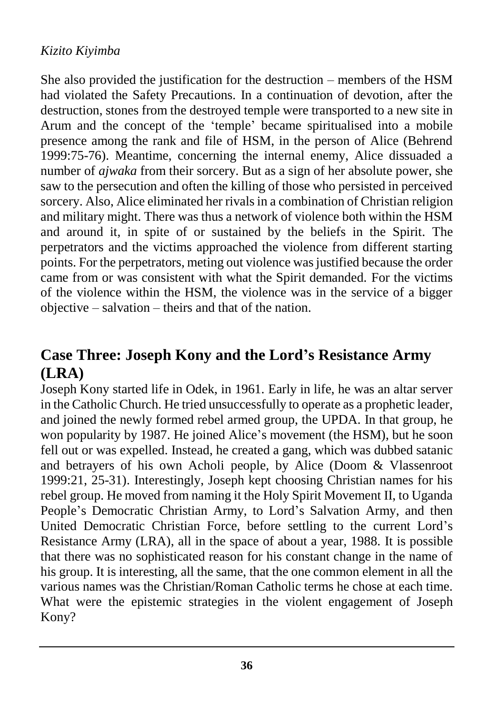She also provided the justification for the destruction – members of the HSM had violated the Safety Precautions. In a continuation of devotion, after the destruction, stones from the destroyed temple were transported to a new site in Arum and the concept of the 'temple' became spiritualised into a mobile presence among the rank and file of HSM, in the person of Alice (Behrend 1999:75-76). Meantime, concerning the internal enemy, Alice dissuaded a number of *ajwaka* from their sorcery. But as a sign of her absolute power, she saw to the persecution and often the killing of those who persisted in perceived sorcery. Also, Alice eliminated her rivals in a combination of Christian religion and military might. There was thus a network of violence both within the HSM and around it, in spite of or sustained by the beliefs in the Spirit. The perpetrators and the victims approached the violence from different starting points. For the perpetrators, meting out violence was justified because the order came from or was consistent with what the Spirit demanded. For the victims of the violence within the HSM, the violence was in the service of a bigger objective – salvation – theirs and that of the nation.

# **Case Three: Joseph Kony and the Lord's Resistance Army (LRA)**

Joseph Kony started life in Odek, in 1961. Early in life, he was an altar server in the Catholic Church. He tried unsuccessfully to operate as a prophetic leader, and joined the newly formed rebel armed group, the UPDA. In that group, he won popularity by 1987. He joined Alice's movement (the HSM), but he soon fell out or was expelled. Instead, he created a gang, which was dubbed satanic and betrayers of his own Acholi people, by Alice (Doom & Vlassenroot 1999:21, 25-31). Interestingly, Joseph kept choosing Christian names for his rebel group. He moved from naming it the Holy Spirit Movement II, to Uganda People's Democratic Christian Army, to Lord's Salvation Army, and then United Democratic Christian Force, before settling to the current Lord's Resistance Army (LRA), all in the space of about a year, 1988. It is possible that there was no sophisticated reason for his constant change in the name of his group. It is interesting, all the same, that the one common element in all the various names was the Christian/Roman Catholic terms he chose at each time. What were the epistemic strategies in the violent engagement of Joseph Kony?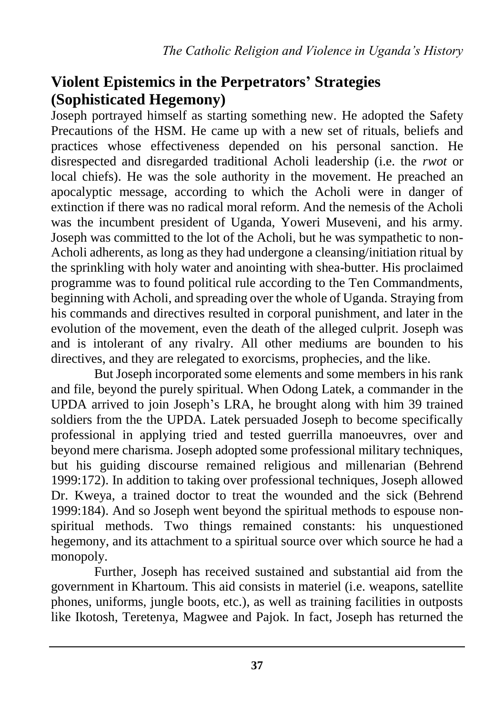### **Violent Epistemics in the Perpetrators' Strategies (Sophisticated Hegemony)**

Joseph portrayed himself as starting something new. He adopted the Safety Precautions of the HSM. He came up with a new set of rituals, beliefs and practices whose effectiveness depended on his personal sanction. He disrespected and disregarded traditional Acholi leadership (i.e. the *rwot* or local chiefs). He was the sole authority in the movement. He preached an apocalyptic message, according to which the Acholi were in danger of extinction if there was no radical moral reform. And the nemesis of the Acholi was the incumbent president of Uganda, Yoweri Museveni, and his army. Joseph was committed to the lot of the Acholi, but he was sympathetic to non-Acholi adherents, as long as they had undergone a cleansing/initiation ritual by the sprinkling with holy water and anointing with shea-butter. His proclaimed programme was to found political rule according to the Ten Commandments, beginning with Acholi, and spreading over the whole of Uganda. Straying from his commands and directives resulted in corporal punishment, and later in the evolution of the movement, even the death of the alleged culprit. Joseph was and is intolerant of any rivalry. All other mediums are bounden to his directives, and they are relegated to exorcisms, prophecies, and the like.

But Joseph incorporated some elements and some members in his rank and file, beyond the purely spiritual. When Odong Latek, a commander in the UPDA arrived to join Joseph's LRA, he brought along with him 39 trained soldiers from the the UPDA. Latek persuaded Joseph to become specifically professional in applying tried and tested guerrilla manoeuvres, over and beyond mere charisma. Joseph adopted some professional military techniques, but his guiding discourse remained religious and millenarian (Behrend 1999:172). In addition to taking over professional techniques, Joseph allowed Dr. Kweya, a trained doctor to treat the wounded and the sick (Behrend 1999:184). And so Joseph went beyond the spiritual methods to espouse nonspiritual methods. Two things remained constants: his unquestioned hegemony, and its attachment to a spiritual source over which source he had a monopoly.

Further, Joseph has received sustained and substantial aid from the government in Khartoum. This aid consists in materiel (i.e. weapons, satellite phones, uniforms, jungle boots, etc.), as well as training facilities in outposts like Ikotosh, Teretenya, Magwee and Pajok. In fact, Joseph has returned the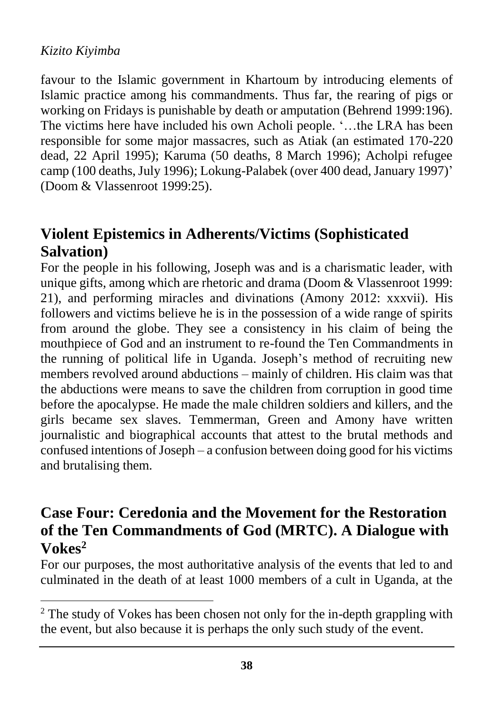$\overline{a}$ 

favour to the Islamic government in Khartoum by introducing elements of Islamic practice among his commandments. Thus far, the rearing of pigs or working on Fridays is punishable by death or amputation (Behrend 1999:196). The victims here have included his own Acholi people. '…the LRA has been responsible for some major massacres, such as Atiak (an estimated 170-220 dead, 22 April 1995); Karuma (50 deaths, 8 March 1996); Acholpi refugee camp (100 deaths, July 1996); Lokung-Palabek (over 400 dead, January 1997)' (Doom & Vlassenroot 1999:25).

# **Violent Epistemics in Adherents/Victims (Sophisticated Salvation)**

For the people in his following, Joseph was and is a charismatic leader, with unique gifts, among which are rhetoric and drama (Doom & Vlassenroot 1999: 21), and performing miracles and divinations (Amony 2012: xxxvii). His followers and victims believe he is in the possession of a wide range of spirits from around the globe. They see a consistency in his claim of being the mouthpiece of God and an instrument to re-found the Ten Commandments in the running of political life in Uganda. Joseph's method of recruiting new members revolved around abductions – mainly of children. His claim was that the abductions were means to save the children from corruption in good time before the apocalypse. He made the male children soldiers and killers, and the girls became sex slaves. Temmerman, Green and Amony have written journalistic and biographical accounts that attest to the brutal methods and confused intentions of Joseph – a confusion between doing good for his victims and brutalising them.

### **Case Four: Ceredonia and the Movement for the Restoration of the Ten Commandments of God (MRTC). A Dialogue with Vokes<sup>2</sup>**

For our purposes, the most authoritative analysis of the events that led to and culminated in the death of at least 1000 members of a cult in Uganda, at the

<sup>&</sup>lt;sup>2</sup> The study of Vokes has been chosen not only for the in-depth grappling with the event, but also because it is perhaps the only such study of the event.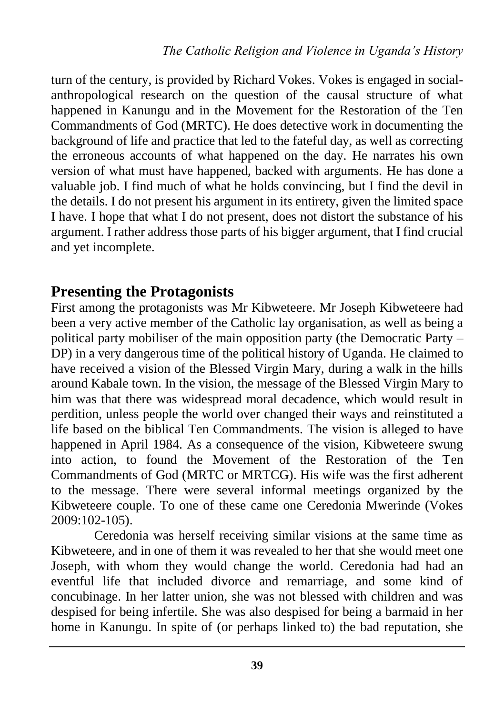turn of the century, is provided by Richard Vokes. Vokes is engaged in socialanthropological research on the question of the causal structure of what happened in Kanungu and in the Movement for the Restoration of the Ten Commandments of God (MRTC). He does detective work in documenting the background of life and practice that led to the fateful day, as well as correcting the erroneous accounts of what happened on the day. He narrates his own version of what must have happened, backed with arguments. He has done a valuable job. I find much of what he holds convincing, but I find the devil in the details. I do not present his argument in its entirety, given the limited space I have. I hope that what I do not present, does not distort the substance of his argument. I rather address those parts of his bigger argument, that I find crucial and yet incomplete.

### **Presenting the Protagonists**

First among the protagonists was Mr Kibweteere. Mr Joseph Kibweteere had been a very active member of the Catholic lay organisation, as well as being a political party mobiliser of the main opposition party (the Democratic Party – DP) in a very dangerous time of the political history of Uganda. He claimed to have received a vision of the Blessed Virgin Mary, during a walk in the hills around Kabale town. In the vision, the message of the Blessed Virgin Mary to him was that there was widespread moral decadence, which would result in perdition, unless people the world over changed their ways and reinstituted a life based on the biblical Ten Commandments. The vision is alleged to have happened in April 1984. As a consequence of the vision, Kibweteere swung into action, to found the Movement of the Restoration of the Ten Commandments of God (MRTC or MRTCG). His wife was the first adherent to the message. There were several informal meetings organized by the Kibweteere couple. To one of these came one Ceredonia Mwerinde (Vokes 2009:102-105).

Ceredonia was herself receiving similar visions at the same time as Kibweteere, and in one of them it was revealed to her that she would meet one Joseph, with whom they would change the world. Ceredonia had had an eventful life that included divorce and remarriage, and some kind of concubinage. In her latter union, she was not blessed with children and was despised for being infertile. She was also despised for being a barmaid in her home in Kanungu. In spite of (or perhaps linked to) the bad reputation, she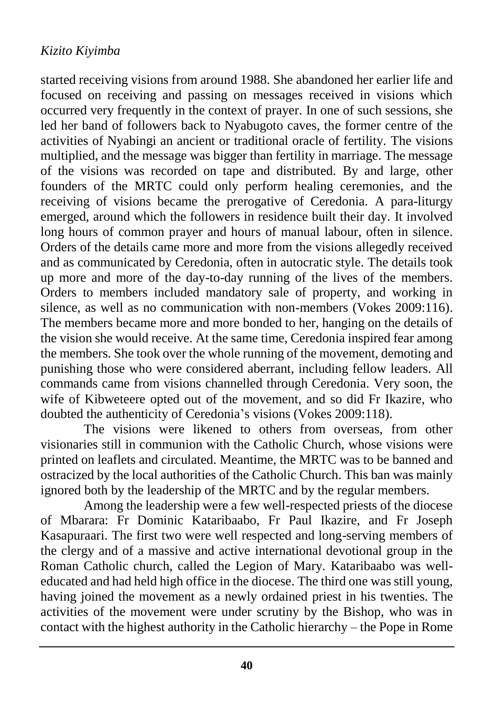started receiving visions from around 1988. She abandoned her earlier life and focused on receiving and passing on messages received in visions which occurred very frequently in the context of prayer. In one of such sessions, she led her band of followers back to Nyabugoto caves, the former centre of the activities of Nyabingi an ancient or traditional oracle of fertility. The visions multiplied, and the message was bigger than fertility in marriage. The message of the visions was recorded on tape and distributed. By and large, other founders of the MRTC could only perform healing ceremonies, and the receiving of visions became the prerogative of Ceredonia. A para-liturgy emerged, around which the followers in residence built their day. It involved long hours of common prayer and hours of manual labour, often in silence. Orders of the details came more and more from the visions allegedly received and as communicated by Ceredonia, often in autocratic style. The details took up more and more of the day-to-day running of the lives of the members. Orders to members included mandatory sale of property, and working in silence, as well as no communication with non-members (Vokes 2009:116). The members became more and more bonded to her, hanging on the details of the vision she would receive. At the same time, Ceredonia inspired fear among the members. She took over the whole running of the movement, demoting and punishing those who were considered aberrant, including fellow leaders. All commands came from visions channelled through Ceredonia. Very soon, the wife of Kibweteere opted out of the movement, and so did Fr Ikazire, who doubted the authenticity of Ceredonia's visions (Vokes 2009:118).

The visions were likened to others from overseas, from other visionaries still in communion with the Catholic Church, whose visions were printed on leaflets and circulated. Meantime, the MRTC was to be banned and ostracized by the local authorities of the Catholic Church. This ban was mainly ignored both by the leadership of the MRTC and by the regular members.

Among the leadership were a few well-respected priests of the diocese of Mbarara: Fr Dominic Kataribaabo, Fr Paul Ikazire, and Fr Joseph Kasapuraari. The first two were well respected and long-serving members of the clergy and of a massive and active international devotional group in the Roman Catholic church, called the Legion of Mary. Kataribaabo was welleducated and had held high office in the diocese. The third one was still young, having joined the movement as a newly ordained priest in his twenties. The activities of the movement were under scrutiny by the Bishop, who was in contact with the highest authority in the Catholic hierarchy – the Pope in Rome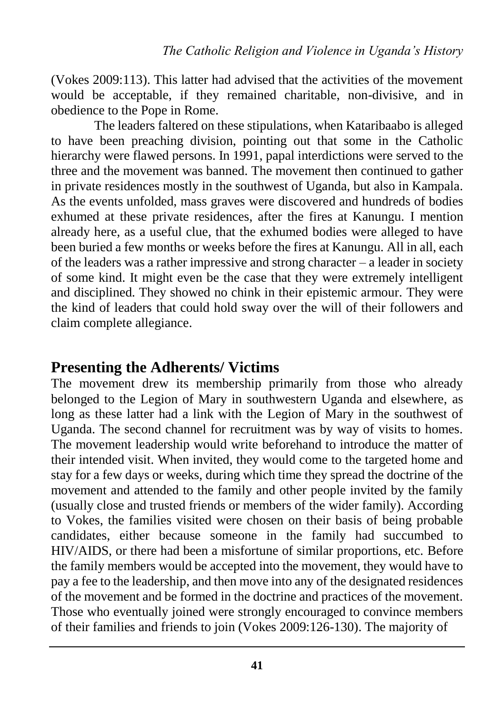(Vokes 2009:113). This latter had advised that the activities of the movement would be acceptable, if they remained charitable, non-divisive, and in obedience to the Pope in Rome.

The leaders faltered on these stipulations, when Kataribaabo is alleged to have been preaching division, pointing out that some in the Catholic hierarchy were flawed persons. In 1991, papal interdictions were served to the three and the movement was banned. The movement then continued to gather in private residences mostly in the southwest of Uganda, but also in Kampala. As the events unfolded, mass graves were discovered and hundreds of bodies exhumed at these private residences, after the fires at Kanungu. I mention already here, as a useful clue, that the exhumed bodies were alleged to have been buried a few months or weeks before the fires at Kanungu. All in all, each of the leaders was a rather impressive and strong character – a leader in society of some kind. It might even be the case that they were extremely intelligent and disciplined. They showed no chink in their epistemic armour. They were the kind of leaders that could hold sway over the will of their followers and claim complete allegiance.

### **Presenting the Adherents/ Victims**

The movement drew its membership primarily from those who already belonged to the Legion of Mary in southwestern Uganda and elsewhere, as long as these latter had a link with the Legion of Mary in the southwest of Uganda. The second channel for recruitment was by way of visits to homes. The movement leadership would write beforehand to introduce the matter of their intended visit. When invited, they would come to the targeted home and stay for a few days or weeks, during which time they spread the doctrine of the movement and attended to the family and other people invited by the family (usually close and trusted friends or members of the wider family). According to Vokes, the families visited were chosen on their basis of being probable candidates, either because someone in the family had succumbed to HIV/AIDS, or there had been a misfortune of similar proportions, etc. Before the family members would be accepted into the movement, they would have to pay a fee to the leadership, and then move into any of the designated residences of the movement and be formed in the doctrine and practices of the movement. Those who eventually joined were strongly encouraged to convince members of their families and friends to join (Vokes 2009:126-130). The majority of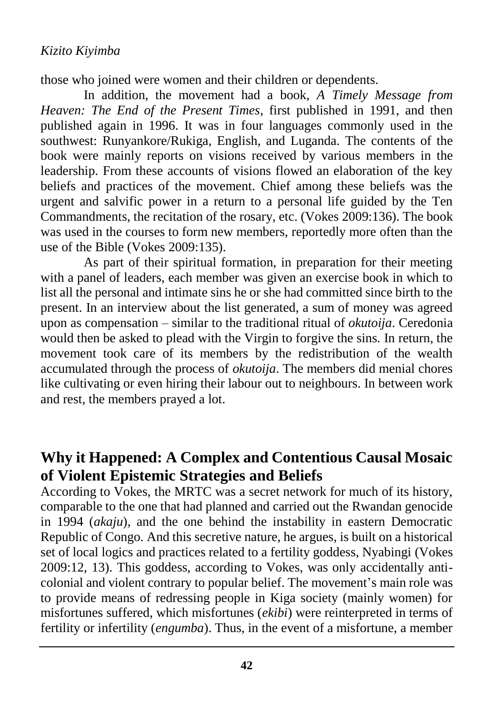those who joined were women and their children or dependents.

In addition, the movement had a book, *A Timely Message from Heaven: The End of the Present Times*, first published in 1991, and then published again in 1996. It was in four languages commonly used in the southwest: Runyankore/Rukiga, English, and Luganda. The contents of the book were mainly reports on visions received by various members in the leadership. From these accounts of visions flowed an elaboration of the key beliefs and practices of the movement. Chief among these beliefs was the urgent and salvific power in a return to a personal life guided by the Ten Commandments, the recitation of the rosary, etc. (Vokes 2009:136). The book was used in the courses to form new members, reportedly more often than the use of the Bible (Vokes 2009:135).

As part of their spiritual formation, in preparation for their meeting with a panel of leaders, each member was given an exercise book in which to list all the personal and intimate sins he or she had committed since birth to the present. In an interview about the list generated, a sum of money was agreed upon as compensation – similar to the traditional ritual of *okutoija*. Ceredonia would then be asked to plead with the Virgin to forgive the sins. In return, the movement took care of its members by the redistribution of the wealth accumulated through the process of *okutoija*. The members did menial chores like cultivating or even hiring their labour out to neighbours. In between work and rest, the members prayed a lot.

### **Why it Happened: A Complex and Contentious Causal Mosaic of Violent Epistemic Strategies and Beliefs**

According to Vokes, the MRTC was a secret network for much of its history, comparable to the one that had planned and carried out the Rwandan genocide in 1994 (*akaju*), and the one behind the instability in eastern Democratic Republic of Congo. And this secretive nature, he argues, is built on a historical set of local logics and practices related to a fertility goddess, Nyabingi (Vokes 2009:12, 13). This goddess, according to Vokes, was only accidentally anticolonial and violent contrary to popular belief. The movement's main role was to provide means of redressing people in Kiga society (mainly women) for misfortunes suffered, which misfortunes (*ekibi*) were reinterpreted in terms of fertility or infertility (*engumba*). Thus, in the event of a misfortune, a member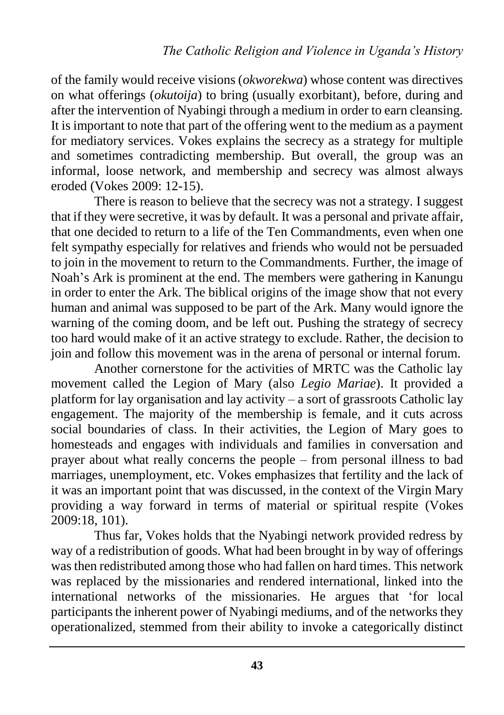of the family would receive visions (*okworekwa*) whose content was directives on what offerings (*okutoija*) to bring (usually exorbitant), before, during and after the intervention of Nyabingi through a medium in order to earn cleansing. It is important to note that part of the offering went to the medium as a payment for mediatory services. Vokes explains the secrecy as a strategy for multiple and sometimes contradicting membership. But overall, the group was an informal, loose network, and membership and secrecy was almost always eroded (Vokes 2009: 12-15).

There is reason to believe that the secrecy was not a strategy. I suggest that if they were secretive, it was by default. It was a personal and private affair, that one decided to return to a life of the Ten Commandments, even when one felt sympathy especially for relatives and friends who would not be persuaded to join in the movement to return to the Commandments. Further, the image of Noah's Ark is prominent at the end. The members were gathering in Kanungu in order to enter the Ark. The biblical origins of the image show that not every human and animal was supposed to be part of the Ark. Many would ignore the warning of the coming doom, and be left out. Pushing the strategy of secrecy too hard would make of it an active strategy to exclude. Rather, the decision to join and follow this movement was in the arena of personal or internal forum.

Another cornerstone for the activities of MRTC was the Catholic lay movement called the Legion of Mary (also *Legio Mariae*). It provided a platform for lay organisation and lay activity – a sort of grassroots Catholic lay engagement. The majority of the membership is female, and it cuts across social boundaries of class. In their activities, the Legion of Mary goes to homesteads and engages with individuals and families in conversation and prayer about what really concerns the people – from personal illness to bad marriages, unemployment, etc. Vokes emphasizes that fertility and the lack of it was an important point that was discussed, in the context of the Virgin Mary providing a way forward in terms of material or spiritual respite (Vokes 2009:18, 101).

Thus far, Vokes holds that the Nyabingi network provided redress by way of a redistribution of goods. What had been brought in by way of offerings was then redistributed among those who had fallen on hard times. This network was replaced by the missionaries and rendered international, linked into the international networks of the missionaries. He argues that 'for local participants the inherent power of Nyabingi mediums, and of the networks they operationalized, stemmed from their ability to invoke a categorically distinct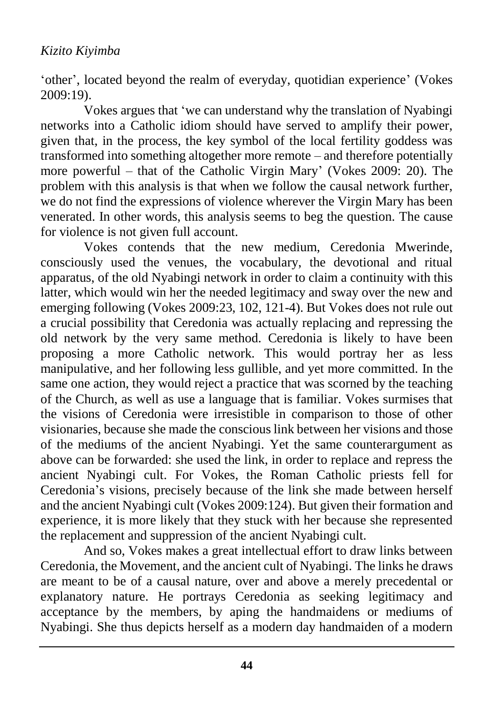'other', located beyond the realm of everyday, quotidian experience' (Vokes 2009:19).

Vokes argues that 'we can understand why the translation of Nyabingi networks into a Catholic idiom should have served to amplify their power, given that, in the process, the key symbol of the local fertility goddess was transformed into something altogether more remote – and therefore potentially more powerful – that of the Catholic Virgin Mary' (Vokes 2009: 20). The problem with this analysis is that when we follow the causal network further, we do not find the expressions of violence wherever the Virgin Mary has been venerated. In other words, this analysis seems to beg the question. The cause for violence is not given full account.

Vokes contends that the new medium, Ceredonia Mwerinde, consciously used the venues, the vocabulary, the devotional and ritual apparatus, of the old Nyabingi network in order to claim a continuity with this latter, which would win her the needed legitimacy and sway over the new and emerging following (Vokes 2009:23, 102, 121-4). But Vokes does not rule out a crucial possibility that Ceredonia was actually replacing and repressing the old network by the very same method. Ceredonia is likely to have been proposing a more Catholic network. This would portray her as less manipulative, and her following less gullible, and yet more committed. In the same one action, they would reject a practice that was scorned by the teaching of the Church, as well as use a language that is familiar. Vokes surmises that the visions of Ceredonia were irresistible in comparison to those of other visionaries, because she made the conscious link between her visions and those of the mediums of the ancient Nyabingi. Yet the same counterargument as above can be forwarded: she used the link, in order to replace and repress the ancient Nyabingi cult. For Vokes, the Roman Catholic priests fell for Ceredonia's visions, precisely because of the link she made between herself and the ancient Nyabingi cult (Vokes 2009:124). But given their formation and experience, it is more likely that they stuck with her because she represented the replacement and suppression of the ancient Nyabingi cult.

And so, Vokes makes a great intellectual effort to draw links between Ceredonia, the Movement, and the ancient cult of Nyabingi. The links he draws are meant to be of a causal nature, over and above a merely precedental or explanatory nature. He portrays Ceredonia as seeking legitimacy and acceptance by the members, by aping the handmaidens or mediums of Nyabingi. She thus depicts herself as a modern day handmaiden of a modern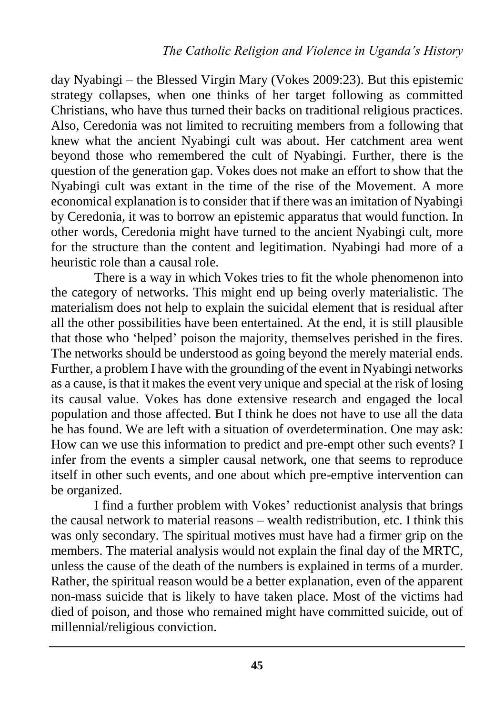day Nyabingi – the Blessed Virgin Mary (Vokes 2009:23). But this epistemic strategy collapses, when one thinks of her target following as committed Christians, who have thus turned their backs on traditional religious practices. Also, Ceredonia was not limited to recruiting members from a following that knew what the ancient Nyabingi cult was about. Her catchment area went beyond those who remembered the cult of Nyabingi. Further, there is the question of the generation gap. Vokes does not make an effort to show that the Nyabingi cult was extant in the time of the rise of the Movement. A more economical explanation is to consider that if there was an imitation of Nyabingi by Ceredonia, it was to borrow an epistemic apparatus that would function. In other words, Ceredonia might have turned to the ancient Nyabingi cult, more for the structure than the content and legitimation. Nyabingi had more of a heuristic role than a causal role.

There is a way in which Vokes tries to fit the whole phenomenon into the category of networks. This might end up being overly materialistic. The materialism does not help to explain the suicidal element that is residual after all the other possibilities have been entertained. At the end, it is still plausible that those who 'helped' poison the majority, themselves perished in the fires. The networks should be understood as going beyond the merely material ends. Further, a problem I have with the grounding of the event in Nyabingi networks as a cause, is that it makes the event very unique and special at the risk of losing its causal value. Vokes has done extensive research and engaged the local population and those affected. But I think he does not have to use all the data he has found. We are left with a situation of overdetermination. One may ask: How can we use this information to predict and pre-empt other such events? I infer from the events a simpler causal network, one that seems to reproduce itself in other such events, and one about which pre-emptive intervention can be organized.

I find a further problem with Vokes' reductionist analysis that brings the causal network to material reasons – wealth redistribution, etc. I think this was only secondary. The spiritual motives must have had a firmer grip on the members. The material analysis would not explain the final day of the MRTC, unless the cause of the death of the numbers is explained in terms of a murder. Rather, the spiritual reason would be a better explanation, even of the apparent non-mass suicide that is likely to have taken place. Most of the victims had died of poison, and those who remained might have committed suicide, out of millennial/religious conviction.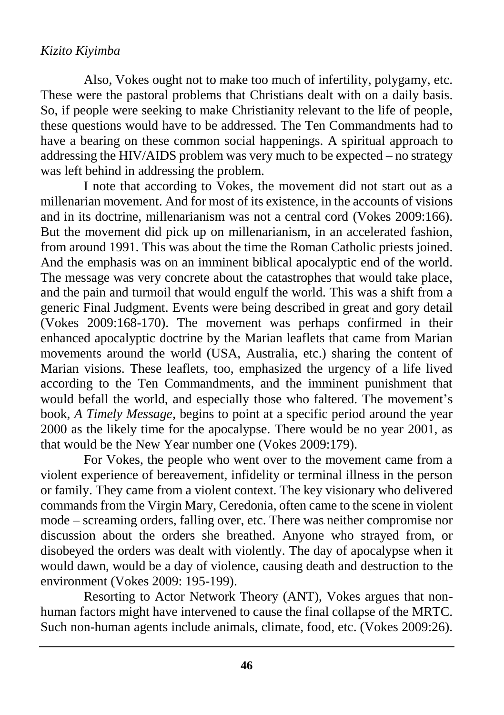Also, Vokes ought not to make too much of infertility, polygamy, etc. These were the pastoral problems that Christians dealt with on a daily basis. So, if people were seeking to make Christianity relevant to the life of people, these questions would have to be addressed. The Ten Commandments had to have a bearing on these common social happenings. A spiritual approach to addressing the HIV/AIDS problem was very much to be expected – no strategy was left behind in addressing the problem.

I note that according to Vokes, the movement did not start out as a millenarian movement. And for most of its existence, in the accounts of visions and in its doctrine, millenarianism was not a central cord (Vokes 2009:166). But the movement did pick up on millenarianism, in an accelerated fashion, from around 1991. This was about the time the Roman Catholic priests joined. And the emphasis was on an imminent biblical apocalyptic end of the world. The message was very concrete about the catastrophes that would take place, and the pain and turmoil that would engulf the world. This was a shift from a generic Final Judgment. Events were being described in great and gory detail (Vokes 2009:168-170). The movement was perhaps confirmed in their enhanced apocalyptic doctrine by the Marian leaflets that came from Marian movements around the world (USA, Australia, etc.) sharing the content of Marian visions. These leaflets, too, emphasized the urgency of a life lived according to the Ten Commandments, and the imminent punishment that would befall the world, and especially those who faltered. The movement's book, *A Timely Message*, begins to point at a specific period around the year 2000 as the likely time for the apocalypse. There would be no year 2001, as that would be the New Year number one (Vokes 2009:179).

For Vokes, the people who went over to the movement came from a violent experience of bereavement, infidelity or terminal illness in the person or family. They came from a violent context. The key visionary who delivered commands from the Virgin Mary, Ceredonia, often came to the scene in violent mode – screaming orders, falling over, etc. There was neither compromise nor discussion about the orders she breathed. Anyone who strayed from, or disobeyed the orders was dealt with violently. The day of apocalypse when it would dawn, would be a day of violence, causing death and destruction to the environment (Vokes 2009: 195-199).

Resorting to Actor Network Theory (ANT), Vokes argues that nonhuman factors might have intervened to cause the final collapse of the MRTC. Such non-human agents include animals, climate, food, etc. (Vokes 2009:26).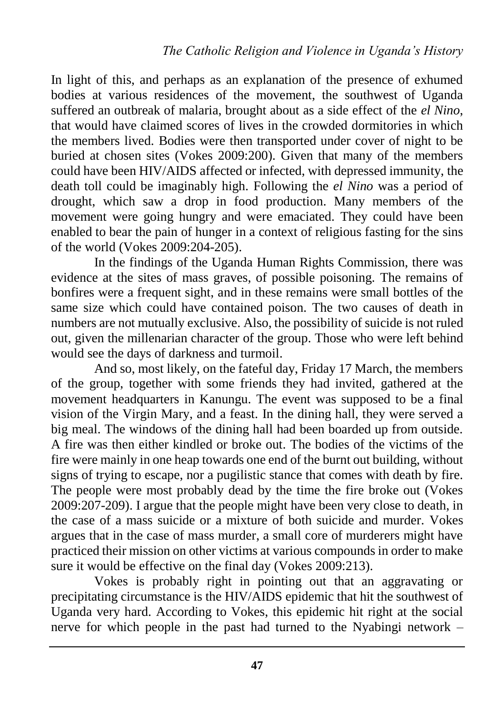In light of this, and perhaps as an explanation of the presence of exhumed bodies at various residences of the movement, the southwest of Uganda suffered an outbreak of malaria, brought about as a side effect of the *el Nino*, that would have claimed scores of lives in the crowded dormitories in which the members lived. Bodies were then transported under cover of night to be buried at chosen sites (Vokes 2009:200). Given that many of the members could have been HIV/AIDS affected or infected, with depressed immunity, the death toll could be imaginably high. Following the *el Nino* was a period of drought, which saw a drop in food production. Many members of the movement were going hungry and were emaciated. They could have been enabled to bear the pain of hunger in a context of religious fasting for the sins of the world (Vokes 2009:204-205).

In the findings of the Uganda Human Rights Commission, there was evidence at the sites of mass graves, of possible poisoning. The remains of bonfires were a frequent sight, and in these remains were small bottles of the same size which could have contained poison. The two causes of death in numbers are not mutually exclusive. Also, the possibility of suicide is not ruled out, given the millenarian character of the group. Those who were left behind would see the days of darkness and turmoil.

And so, most likely, on the fateful day, Friday 17 March, the members of the group, together with some friends they had invited, gathered at the movement headquarters in Kanungu. The event was supposed to be a final vision of the Virgin Mary, and a feast. In the dining hall, they were served a big meal. The windows of the dining hall had been boarded up from outside. A fire was then either kindled or broke out. The bodies of the victims of the fire were mainly in one heap towards one end of the burnt out building, without signs of trying to escape, nor a pugilistic stance that comes with death by fire. The people were most probably dead by the time the fire broke out (Vokes 2009:207-209). I argue that the people might have been very close to death, in the case of a mass suicide or a mixture of both suicide and murder. Vokes argues that in the case of mass murder, a small core of murderers might have practiced their mission on other victims at various compounds in order to make sure it would be effective on the final day (Vokes 2009:213).

Vokes is probably right in pointing out that an aggravating or precipitating circumstance is the HIV/AIDS epidemic that hit the southwest of Uganda very hard. According to Vokes, this epidemic hit right at the social nerve for which people in the past had turned to the Nyabingi network –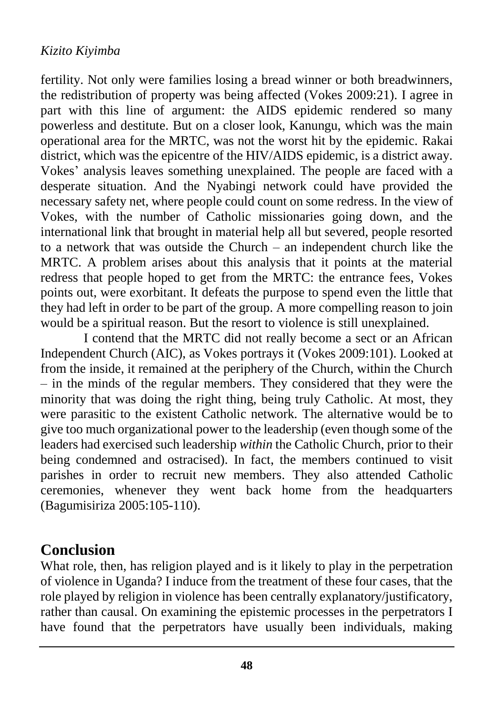fertility. Not only were families losing a bread winner or both breadwinners, the redistribution of property was being affected (Vokes 2009:21). I agree in part with this line of argument: the AIDS epidemic rendered so many powerless and destitute. But on a closer look, Kanungu, which was the main operational area for the MRTC, was not the worst hit by the epidemic. Rakai district, which was the epicentre of the HIV/AIDS epidemic, is a district away. Vokes' analysis leaves something unexplained. The people are faced with a desperate situation. And the Nyabingi network could have provided the necessary safety net, where people could count on some redress. In the view of Vokes, with the number of Catholic missionaries going down, and the international link that brought in material help all but severed, people resorted to a network that was outside the Church – an independent church like the MRTC. A problem arises about this analysis that it points at the material redress that people hoped to get from the MRTC: the entrance fees, Vokes points out, were exorbitant. It defeats the purpose to spend even the little that they had left in order to be part of the group. A more compelling reason to join would be a spiritual reason. But the resort to violence is still unexplained.

I contend that the MRTC did not really become a sect or an African Independent Church (AIC), as Vokes portrays it (Vokes 2009:101). Looked at from the inside, it remained at the periphery of the Church, within the Church – in the minds of the regular members. They considered that they were the minority that was doing the right thing, being truly Catholic. At most, they were parasitic to the existent Catholic network. The alternative would be to give too much organizational power to the leadership (even though some of the leaders had exercised such leadership *within* the Catholic Church, prior to their being condemned and ostracised). In fact, the members continued to visit parishes in order to recruit new members. They also attended Catholic ceremonies, whenever they went back home from the headquarters (Bagumisiriza 2005:105-110).

### **Conclusion**

What role, then, has religion played and is it likely to play in the perpetration of violence in Uganda? I induce from the treatment of these four cases, that the role played by religion in violence has been centrally explanatory/justificatory, rather than causal. On examining the epistemic processes in the perpetrators I have found that the perpetrators have usually been individuals, making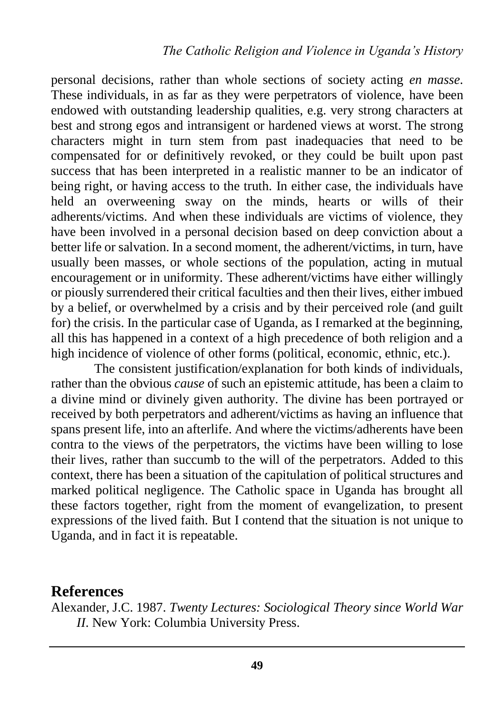personal decisions, rather than whole sections of society acting *en masse*. These individuals, in as far as they were perpetrators of violence, have been endowed with outstanding leadership qualities, e.g. very strong characters at best and strong egos and intransigent or hardened views at worst. The strong characters might in turn stem from past inadequacies that need to be compensated for or definitively revoked, or they could be built upon past success that has been interpreted in a realistic manner to be an indicator of being right, or having access to the truth. In either case, the individuals have held an overweening sway on the minds, hearts or wills of their adherents/victims. And when these individuals are victims of violence, they have been involved in a personal decision based on deep conviction about a better life or salvation. In a second moment, the adherent/victims, in turn, have usually been masses, or whole sections of the population, acting in mutual encouragement or in uniformity. These adherent/victims have either willingly or piously surrendered their critical faculties and then their lives, either imbued by a belief, or overwhelmed by a crisis and by their perceived role (and guilt for) the crisis. In the particular case of Uganda, as I remarked at the beginning, all this has happened in a context of a high precedence of both religion and a high incidence of violence of other forms (political, economic, ethnic, etc.).

The consistent justification/explanation for both kinds of individuals, rather than the obvious *cause* of such an epistemic attitude, has been a claim to a divine mind or divinely given authority. The divine has been portrayed or received by both perpetrators and adherent/victims as having an influence that spans present life, into an afterlife. And where the victims/adherents have been contra to the views of the perpetrators, the victims have been willing to lose their lives, rather than succumb to the will of the perpetrators. Added to this context, there has been a situation of the capitulation of political structures and marked political negligence. The Catholic space in Uganda has brought all these factors together, right from the moment of evangelization, to present expressions of the lived faith. But I contend that the situation is not unique to Uganda, and in fact it is repeatable.

### **References**

Alexander, J.C. 1987. *Twenty Lectures: Sociological Theory since World War II*. New York: Columbia University Press.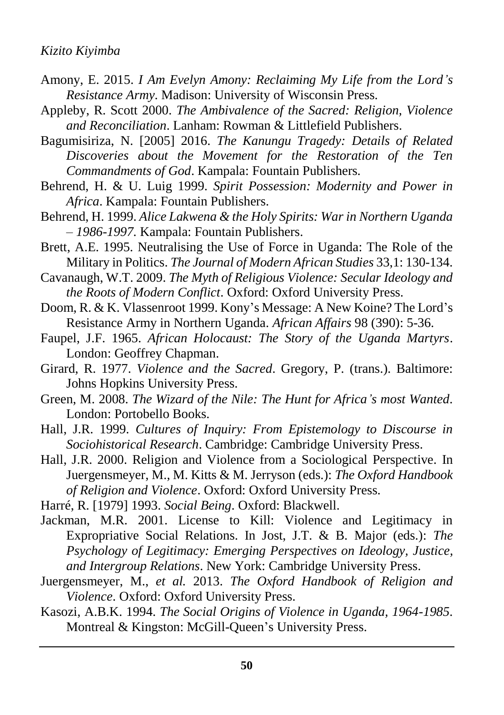- Amony, E. 2015. *I Am Evelyn Amony: Reclaiming My Life from the Lord's Resistance Army*. Madison: University of Wisconsin Press.
- Appleby, R. Scott 2000. *The Ambivalence of the Sacred: Religion, Violence and Reconciliation*. Lanham: Rowman & Littlefield Publishers.
- Bagumisiriza, N. [2005] 2016. *The Kanungu Tragedy: Details of Related Discoveries about the Movement for the Restoration of the Ten Commandments of God*. Kampala: Fountain Publishers.
- Behrend, H. & U. Luig 1999. *Spirit Possession: Modernity and Power in Africa*. Kampala: Fountain Publishers.
- Behrend, H. 1999. *Alice Lakwena & the Holy Spirits: War in Northern Uganda – 1986-1997.* Kampala: Fountain Publishers.
- Brett, A.E. 1995. Neutralising the Use of Force in Uganda: The Role of the Military in Politics. *The Journal of Modern African Studies* 33,1: 130-134.
- Cavanaugh, W.T. 2009. *The Myth of Religious Violence: Secular Ideology and the Roots of Modern Conflict*. Oxford: Oxford University Press.
- Doom, R. & K. Vlassenroot 1999. Kony's Message: A New Koine? The Lord's Resistance Army in Northern Uganda. *African Affairs* 98 (390): 5-36.
- Faupel, J.F. 1965. *African Holocaust: The Story of the Uganda Martyrs*. London: Geoffrey Chapman.
- Girard, R. 1977. *Violence and the Sacred*. Gregory, P. (trans.). Baltimore: Johns Hopkins University Press.
- Green, M. 2008. *The Wizard of the Nile: The Hunt for Africa's most Wanted*. London: Portobello Books.
- Hall, J.R. 1999. *Cultures of Inquiry: From Epistemology to Discourse in Sociohistorical Research*. Cambridge: Cambridge University Press.
- Hall, J.R. 2000. Religion and Violence from a Sociological Perspective. In Juergensmeyer, M., M. Kitts & M. Jerryson (eds.): *The Oxford Handbook of Religion and Violence*. Oxford: Oxford University Press.
- Harré, R. [1979] 1993. *Social Being*. Oxford: Blackwell.
- Jackman, M.R. 2001. License to Kill: Violence and Legitimacy in Expropriative Social Relations. In Jost, J.T. & B. Major (eds.): *The Psychology of Legitimacy: Emerging Perspectives on Ideology, Justice, and Intergroup Relations*. New York: Cambridge University Press.
- Juergensmeyer, M., *et al.* 2013. *The Oxford Handbook of Religion and Violence*. Oxford: Oxford University Press.
- Kasozi, A.B.K. 1994. *The Social Origins of Violence in Uganda, 1964-1985*. Montreal & Kingston: McGill-Queen's University Press.